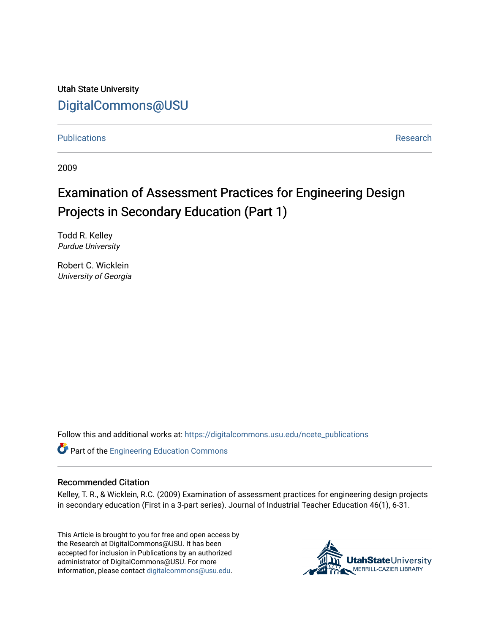Utah State University [DigitalCommons@USU](https://digitalcommons.usu.edu/)

[Publications](https://digitalcommons.usu.edu/ncete_publications) **Research** 

2009

# Examination of Assessment Practices for Engineering Design Projects in Secondary Education (Part 1)

Todd R. Kelley Purdue University

Robert C. Wicklein University of Georgia

Follow this and additional works at: [https://digitalcommons.usu.edu/ncete\\_publications](https://digitalcommons.usu.edu/ncete_publications?utm_source=digitalcommons.usu.edu%2Fncete_publications%2F36&utm_medium=PDF&utm_campaign=PDFCoverPages) 

Part of the [Engineering Education Commons](http://network.bepress.com/hgg/discipline/1191?utm_source=digitalcommons.usu.edu%2Fncete_publications%2F36&utm_medium=PDF&utm_campaign=PDFCoverPages) 

#### Recommended Citation

Kelley, T. R., & Wicklein, R.C. (2009) Examination of assessment practices for engineering design projects in secondary education (First in a 3-part series). Journal of Industrial Teacher Education 46(1), 6-31.

This Article is brought to you for free and open access by the Research at DigitalCommons@USU. It has been accepted for inclusion in Publications by an authorized administrator of DigitalCommons@USU. For more information, please contact [digitalcommons@usu.edu](mailto:digitalcommons@usu.edu).

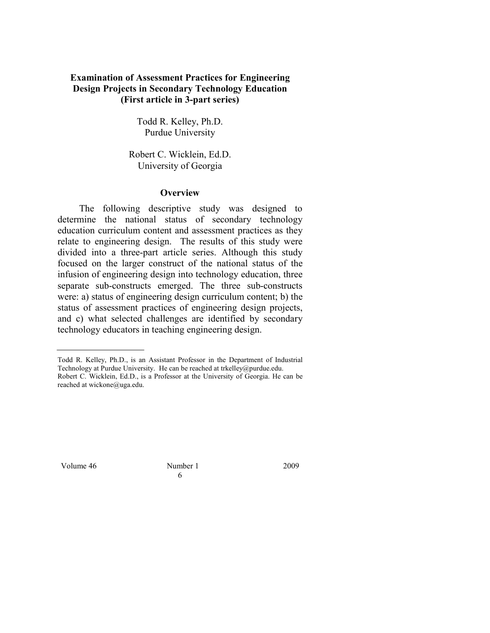# **Examination of Assessment Practices for Engineering Design Projects in Secondary Technology Education (First article in 3-part series)**

Todd R. Kelley, Ph.D. Purdue University

Robert C. Wicklein, Ed.D. University of Georgia

#### **Overview**

 The following descriptive study was designed to determine the national status of secondary technology education curriculum content and assessment practices as they relate to engineering design. The results of this study were divided into a three-part article series. Although this study focused on the larger construct of the national status of the infusion of engineering design into technology education, three separate sub-constructs emerged. The three sub-constructs were: a) status of engineering design curriculum content; b) the status of assessment practices of engineering design projects, and c) what selected challenges are identified by secondary technology educators in teaching engineering design.

Volume 46 Number 1 2009

6

Todd R. Kelley, Ph.D., is an Assistant Professor in the Department of Industrial Technology at Purdue University. He can be reached at trkelley@purdue.edu. Robert C. Wicklein, Ed.D., is a Professor at the University of Georgia. He can be reached at wickone@uga.edu.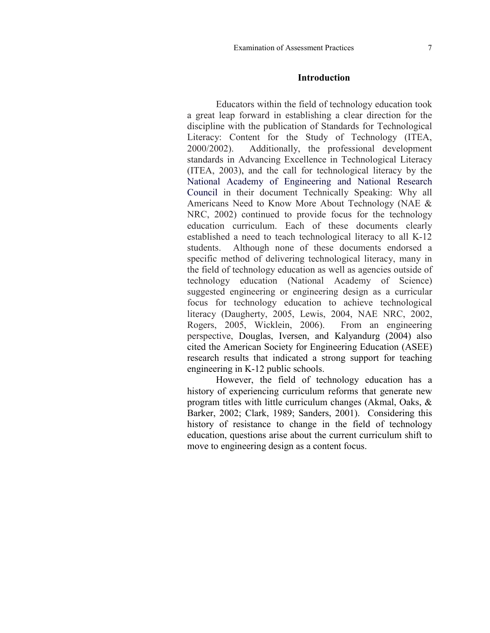#### **Introduction**

Educators within the field of technology education took a great leap forward in establishing a clear direction for the discipline with the publication of Standards for Technological Literacy: Content for the Study of Technology (ITEA, 2000/2002). Additionally, the professional development standards in Advancing Excellence in Technological Literacy (ITEA, 2003), and the call for technological literacy by the National Academy of Engineering and National Research Council in their document Technically Speaking: Why all Americans Need to Know More About Technology (NAE & NRC, 2002) continued to provide focus for the technology education curriculum. Each of these documents clearly established a need to teach technological literacy to all K-12 students. Although none of these documents endorsed a specific method of delivering technological literacy, many in the field of technology education as well as agencies outside of technology education (National Academy of Science) suggested engineering or engineering design as a curricular focus for technology education to achieve technological literacy (Daugherty, 2005, Lewis, 2004, NAE NRC, 2002, Rogers, 2005, Wicklein, 2006). From an engineering perspective, Douglas, Iversen, and Kalyandurg (2004) also cited the American Society for Engineering Education (ASEE) research results that indicated a strong support for teaching engineering in K-12 public schools.

However, the field of technology education has a history of experiencing curriculum reforms that generate new program titles with little curriculum changes (Akmal, Oaks, & Barker, 2002; Clark, 1989; Sanders, 2001). Considering this history of resistance to change in the field of technology education, questions arise about the current curriculum shift to move to engineering design as a content focus.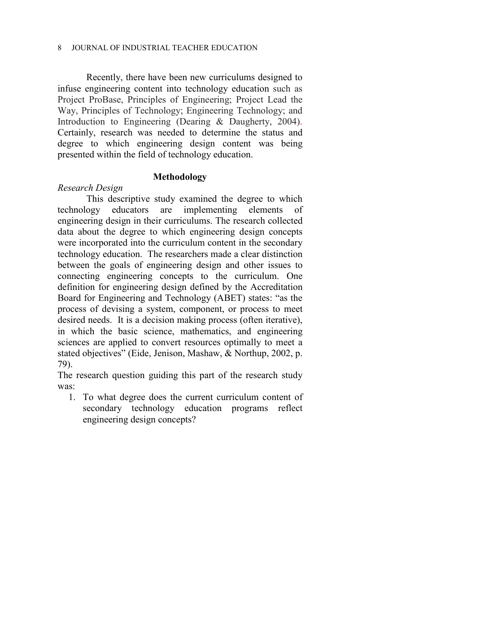Recently, there have been new curriculums designed to infuse engineering content into technology education such as Project ProBase, Principles of Engineering; Project Lead the Way, Principles of Technology; Engineering Technology; and Introduction to Engineering (Dearing & Daugherty, 2004). Certainly, research was needed to determine the status and degree to which engineering design content was being presented within the field of technology education.

# **Methodology**

# *Research Design*

This descriptive study examined the degree to which technology educators are implementing elements of engineering design in their curriculums. The research collected data about the degree to which engineering design concepts were incorporated into the curriculum content in the secondary technology education. The researchers made a clear distinction between the goals of engineering design and other issues to connecting engineering concepts to the curriculum. One definition for engineering design defined by the Accreditation Board for Engineering and Technology (ABET) states: "as the process of devising a system, component, or process to meet desired needs. It is a decision making process (often iterative), in which the basic science, mathematics, and engineering sciences are applied to convert resources optimally to meet a stated objectives" (Eide, Jenison, Mashaw, & Northup, 2002, p. 79).

The research question guiding this part of the research study was:

1. To what degree does the current curriculum content of secondary technology education programs reflect engineering design concepts?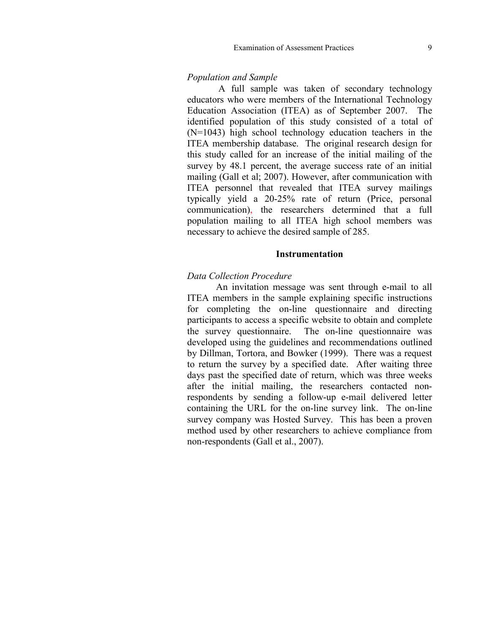#### *Population and Sample*

A full sample was taken of secondary technology educators who were members of the International Technology Education Association (ITEA) as of September 2007. The identified population of this study consisted of a total of (N=1043) high school technology education teachers in the ITEA membership database. The original research design for this study called for an increase of the initial mailing of the survey by 48.1 percent, the average success rate of an initial mailing (Gall et al; 2007). However, after communication with ITEA personnel that revealed that ITEA survey mailings typically yield a 20-25% rate of return (Price, personal communication), the researchers determined that a full population mailing to all ITEA high school members was necessary to achieve the desired sample of 285.

#### **Instrumentation**

#### *Data Collection Procedure*

An invitation message was sent through e-mail to all ITEA members in the sample explaining specific instructions for completing the on-line questionnaire and directing participants to access a specific website to obtain and complete the survey questionnaire. The on-line questionnaire was developed using the guidelines and recommendations outlined by Dillman, Tortora, and Bowker (1999). There was a request to return the survey by a specified date. After waiting three days past the specified date of return, which was three weeks after the initial mailing, the researchers contacted nonrespondents by sending a follow-up e-mail delivered letter containing the URL for the on-line survey link. The on-line survey company was Hosted Survey. This has been a proven method used by other researchers to achieve compliance from non-respondents (Gall et al., 2007).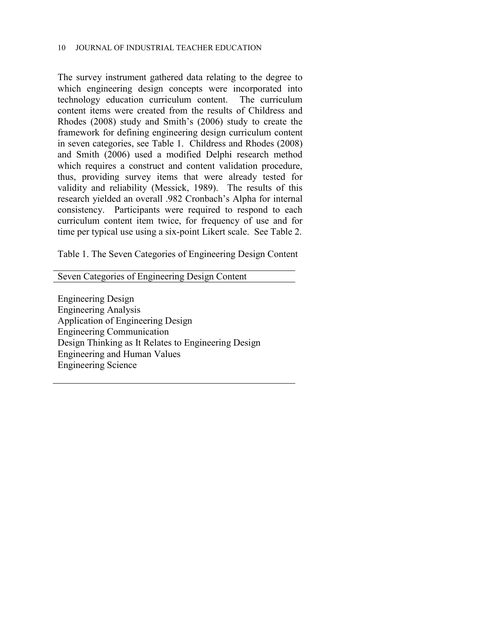The survey instrument gathered data relating to the degree to which engineering design concepts were incorporated into technology education curriculum content. The curriculum content items were created from the results of Childress and Rhodes (2008) study and Smith's (2006) study to create the framework for defining engineering design curriculum content in seven categories, see Table 1. Childress and Rhodes (2008) and Smith (2006) used a modified Delphi research method which requires a construct and content validation procedure, thus, providing survey items that were already tested for validity and reliability (Messick, 1989). The results of this research yielded an overall .982 Cronbach's Alpha for internal consistency. Participants were required to respond to each curriculum content item twice, for frequency of use and for time per typical use using a six-point Likert scale. See Table 2.

Table 1. The Seven Categories of Engineering Design Content

Seven Categories of Engineering Design Content

Engineering Design Engineering Analysis Application of Engineering Design Engineering Communication Design Thinking as It Relates to Engineering Design Engineering and Human Values Engineering Science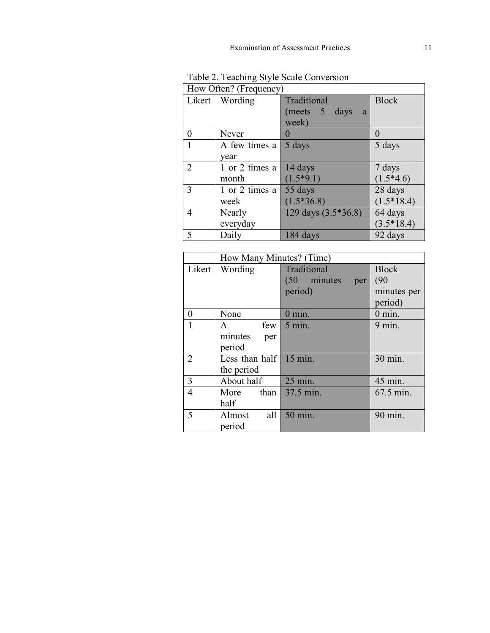| How Often? (Frequency) |                  |                     |                  |  |
|------------------------|------------------|---------------------|------------------|--|
|                        | Likert   Wording | Traditional         | <b>Block</b>     |  |
|                        |                  | (meets 5 days<br>a  |                  |  |
|                        |                  | week)               |                  |  |
| 0                      | Never            | $\mathbf 0$         | $\left( \right)$ |  |
|                        | A few times a    | 5 days              | 5 days           |  |
|                        | year             |                     |                  |  |
| $\overline{2}$         | 1 or 2 times a   | 14 days             | 7 days           |  |
|                        | month            | $(1.5*9.1)$         | $(1.5*4.6)$      |  |
| 3                      | 1 or 2 times a   | 55 days             | 28 days          |  |
|                        | week             | $(1.5*36.8)$        | $(1.5*18.4)$     |  |
| 4                      | Nearly           | 129 days (3.5*36.8) | 64 days          |  |
|                        | everyday         |                     | $(3.5*18.4)$     |  |
| 5                      | Daily            | 184 days            | 92 days          |  |

Table 2. Teaching Style Scale Conversion

|                | How Many Minutes? (Time)       |                      |              |  |
|----------------|--------------------------------|----------------------|--------------|--|
| Likert         | Wording                        | Traditional          | <b>Block</b> |  |
|                |                                | $(50$ minutes<br>per | (90)         |  |
|                |                                | period)              | minutes per  |  |
|                |                                |                      | period)      |  |
| 0              | None                           | $0 \text{ min.}$     | $0$ min.     |  |
| $\mathbf{1}$   | few<br>$\mathsf{A}$            | $5$ min.             | $9$ min.     |  |
|                | minutes<br>per                 |                      |              |  |
|                | period                         |                      |              |  |
| $\overline{2}$ | Less than half $\vert$ 15 min. |                      | 30 min.      |  |
|                | the period                     |                      |              |  |
| 3              | About half                     | 25 min.              | 45 min.      |  |
| $\overline{4}$ | More than $37.5$ min.          |                      | 67.5 min.    |  |
|                | half                           |                      |              |  |
| 5              | all<br>Almost                  | 50 min.              | 90 min.      |  |
|                | period                         |                      |              |  |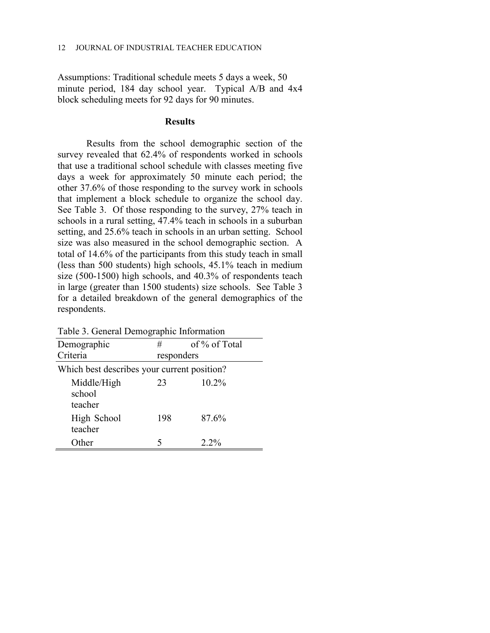Assumptions: Traditional schedule meets 5 days a week, 50 minute period, 184 day school year. Typical A/B and 4x4 block scheduling meets for 92 days for 90 minutes.

## **Results**

Results from the school demographic section of the survey revealed that 62.4% of respondents worked in schools that use a traditional school schedule with classes meeting five days a week for approximately 50 minute each period; the other 37.6% of those responding to the survey work in schools that implement a block schedule to organize the school day. See Table 3. Of those responding to the survey, 27% teach in schools in a rural setting, 47.4% teach in schools in a suburban setting, and 25.6% teach in schools in an urban setting. School size was also measured in the school demographic section. A total of 14.6% of the participants from this study teach in small (less than 500 students) high schools, 45.1% teach in medium size (500-1500) high schools, and 40.3% of respondents teach in large (greater than 1500 students) size schools. See Table 3 for a detailed breakdown of the general demographics of the respondents.

| Demographic                                 | #          | of % of Total |
|---------------------------------------------|------------|---------------|
| Criteria                                    | responders |               |
| Which best describes your current position? |            |               |
| Middle/High<br>school<br>teacher            | 23         | 10.2%         |
| High School<br>teacher                      | 198        | 87.6%         |
| <b>Other</b>                                |            | $2.2\%$       |

Table 3. General Demographic Information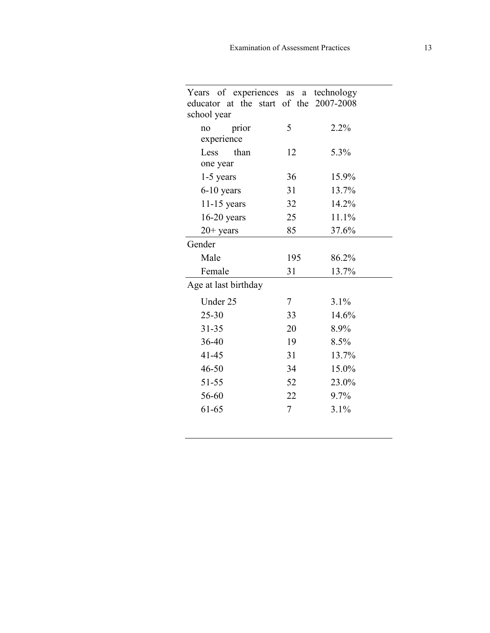| Years of experiences as a technology<br>educator at the start of the 2007-2008 |     |       |
|--------------------------------------------------------------------------------|-----|-------|
| school year                                                                    |     |       |
| prior<br>no                                                                    | 5   | 2.2%  |
| experience                                                                     |     |       |
| Less<br>than                                                                   | 12  | 5.3%  |
| one year                                                                       |     |       |
| $1-5$ years                                                                    | 36  | 15.9% |
| $6-10$ years                                                                   | 31  | 13.7% |
| $11-15$ years                                                                  | 32  | 14.2% |
| $16-20$ years                                                                  | 25  | 11.1% |
| $20+$ years                                                                    | 85  | 37.6% |
| Gender                                                                         |     |       |
| Male                                                                           | 195 | 86.2% |
| Female                                                                         | 31  | 13.7% |
| Age at last birthday                                                           |     |       |
| Under 25                                                                       | 7   | 3.1%  |
| $25 - 30$                                                                      | 33  | 14.6% |
| $31 - 35$                                                                      | 20  | 8.9%  |
| 36-40                                                                          | 19  | 8.5%  |
| $41 - 45$                                                                      | 31  | 13.7% |
| $46 - 50$                                                                      | 34  | 15.0% |
| 51-55                                                                          | 52  | 23.0% |
| 56-60                                                                          | 22  | 9.7%  |
| 61-65                                                                          | 7   | 3.1%  |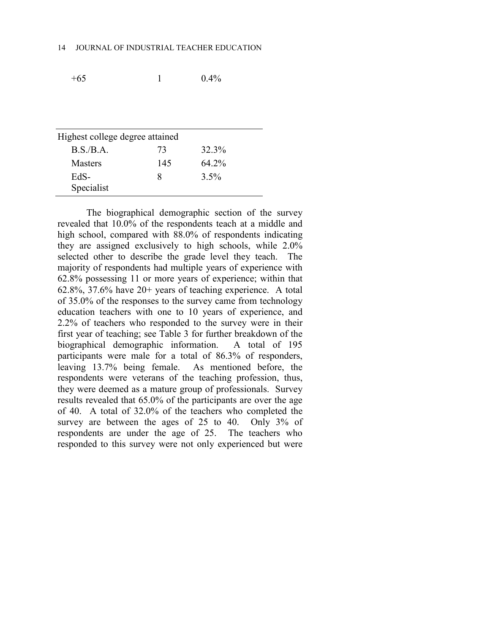$+65$  1 0.4%

| Highest college degree attained |     |           |  |  |  |
|---------------------------------|-----|-----------|--|--|--|
| B.S.B.A.                        | 73  | 32.3%     |  |  |  |
| <b>Masters</b>                  | 145 | $64\,2\%$ |  |  |  |
| EdS-                            | x   | $3.5\%$   |  |  |  |
| Specialist                      |     |           |  |  |  |

The biographical demographic section of the survey revealed that 10.0% of the respondents teach at a middle and high school, compared with 88.0% of respondents indicating they are assigned exclusively to high schools, while 2.0% selected other to describe the grade level they teach. The majority of respondents had multiple years of experience with 62.8% possessing 11 or more years of experience; within that 62.8%, 37.6% have 20+ years of teaching experience. A total of 35.0% of the responses to the survey came from technology education teachers with one to 10 years of experience, and 2.2% of teachers who responded to the survey were in their first year of teaching; see Table 3 for further breakdown of the biographical demographic information. A total of 195 participants were male for a total of 86.3% of responders, leaving 13.7% being female. As mentioned before, the respondents were veterans of the teaching profession, thus, they were deemed as a mature group of professionals. Survey results revealed that 65.0% of the participants are over the age of 40. A total of 32.0% of the teachers who completed the survey are between the ages of 25 to 40. Only 3% of respondents are under the age of 25. The teachers who responded to this survey were not only experienced but were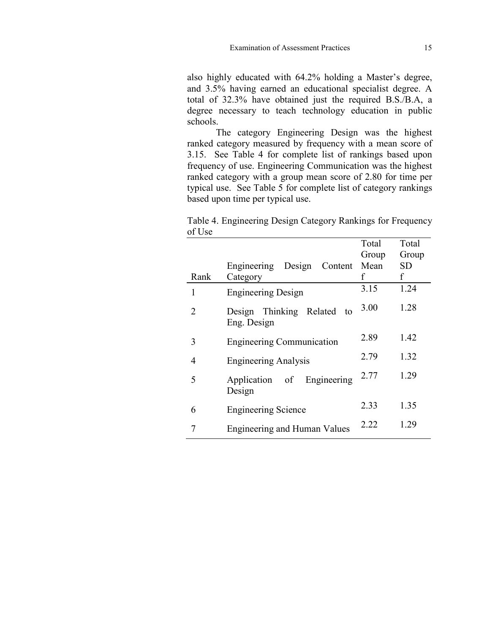also highly educated with 64.2% holding a Master's degree, and 3.5% having earned an educational specialist degree. A total of 32.3% have obtained just the required B.S./B.A, a degree necessary to teach technology education in public schools.

The category Engineering Design was the highest ranked category measured by frequency with a mean score of 3.15. See Table 4 for complete list of rankings based upon frequency of use. Engineering Communication was the highest ranked category with a group mean score of 2.80 for time per typical use. See Table 5 for complete list of category rankings based upon time per typical use.

|        | Table 4. Engineering Design Category Rankings for Frequency |  |  |  |
|--------|-------------------------------------------------------------|--|--|--|
| of Use |                                                             |  |  |  |

|                |                                              | Total | Total     |
|----------------|----------------------------------------------|-------|-----------|
|                |                                              | Group | Group     |
|                | Engineering Design<br>Content                | Mean  | <b>SD</b> |
| Rank           | Category                                     | f     | f         |
| 1              | <b>Engineering Design</b>                    | 3.15  | 1.24      |
| 2              | Design Thinking Related<br>to<br>Eng. Design | 3.00  | 1.28      |
| 3              | <b>Engineering Communication</b>             | 2.89  | 1.42      |
| $\overline{4}$ | <b>Engineering Analysis</b>                  | 2.79  | 1.32      |
| 5              | Application of Engineering<br>Design         | 2.77  | 1.29      |
| 6              | <b>Engineering Science</b>                   | 2.33  | 1.35      |
| 7              | <b>Engineering and Human Values</b>          | 2.22  | 1.29      |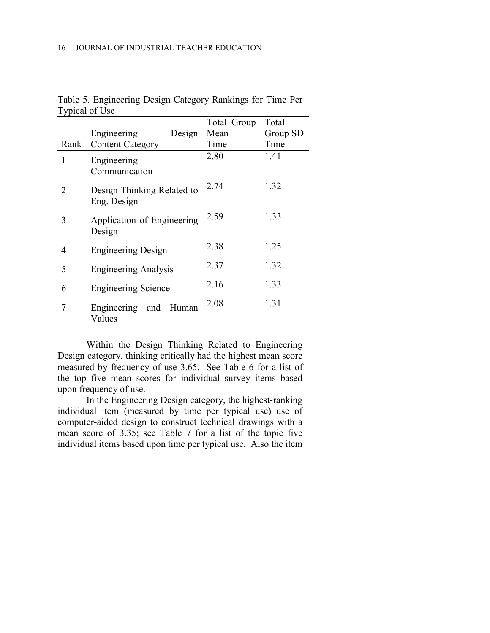|                             | I voical of Use                           |             |          |
|-----------------------------|-------------------------------------------|-------------|----------|
|                             |                                           | Total Group | Total    |
|                             | Engineering<br>Design                     | Mean        | Group SD |
| Rank                        | <b>Content Category</b>                   | Time        | Time     |
| 1                           | Engineering<br>Communication              | 2.80        | 1.41     |
| $\mathcal{D}_{\mathcal{L}}$ | Design Thinking Related to<br>Eng. Design | 2.74        | 1.32     |
| 3                           | Application of Engineering<br>Design      | 2.59        | 1.33     |
| 4                           | <b>Engineering Design</b>                 | 2.38        | 1.25     |
| 5                           | <b>Engineering Analysis</b>               | 2.37        | 1.32     |
| 6                           | <b>Engineering Science</b>                | 2.16        | 1.33     |
| 7                           | Engineering and Human<br>Values           | 2.08        | 1.31     |

Table 5. Engineering Design Category Rankings for Time Per  $T<sub>rmical</sub>$  of  $U<sub>SO</sub>$ 

Within the Design Thinking Related to Engineering Design category, thinking critically had the highest mean score measured by frequency of use 3.65. See Table 6 for a list of the top five mean scores for individual survey items based upon frequency of use.

In the Engineering Design category, the highest-ranking individual item (measured by time per typical use) use of computer-aided design to construct technical drawings with a mean score of 3.35; see Table 7 for a list of the topic five individual items based upon time per typical use. Also the item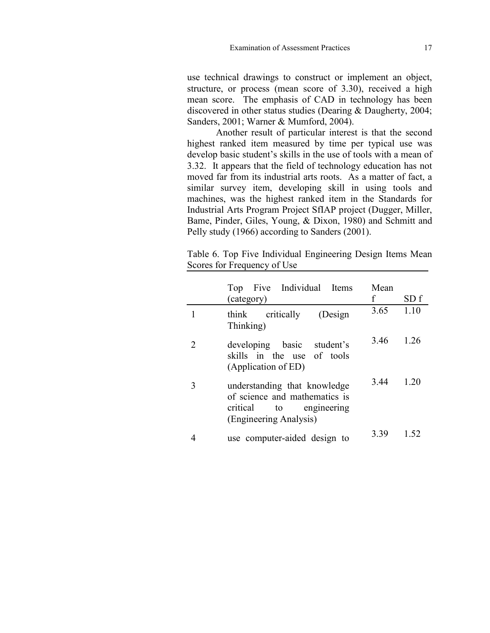use technical drawings to construct or implement an object, structure, or process (mean score of 3.30), received a high mean score. The emphasis of CAD in technology has been discovered in other status studies (Dearing & Daugherty, 2004; Sanders, 2001; Warner & Mumford, 2004).

Another result of particular interest is that the second highest ranked item measured by time per typical use was develop basic student's skills in the use of tools with a mean of 3.32. It appears that the field of technology education has not moved far from its industrial arts roots. As a matter of fact, a similar survey item, developing skill in using tools and machines, was the highest ranked item in the Standards for Industrial Arts Program Project SfIAP project (Dugger, Miller, Bame, Pinder, Giles, Young, & Dixon, 1980) and Schmitt and Pelly study (1966) according to Sanders (2001).

|   | Top Five Individual Items<br>(category)                                                                                  | Mean<br>f | SD f |
|---|--------------------------------------------------------------------------------------------------------------------------|-----------|------|
|   | (Design<br>critically<br>think<br>Thinking)                                                                              | 3.65      | 1.10 |
|   | developing basic student's<br>skills in the use of tools<br>(Application of ED)                                          | 346       | 1 26 |
| 3 | understanding that knowledge<br>of science and mathematics is<br>critical<br>engineering<br>to<br>(Engineering Analysis) | 3.44      | 1 20 |
|   | use computer-aided design to                                                                                             | 3.39      | 152  |

Table 6. Top Five Individual Engineering Design Items Mean Scores for Frequency of Use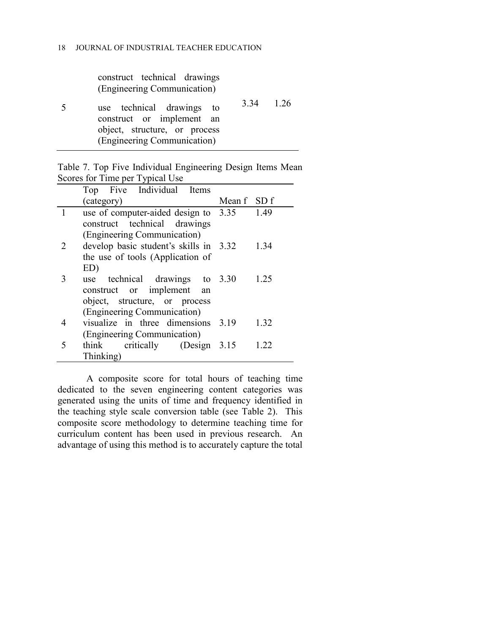| construct technical drawings<br>(Engineering Communication)                                                            |           |  |
|------------------------------------------------------------------------------------------------------------------------|-----------|--|
| use technical drawings to<br>construct or implement an<br>object, structure, or process<br>(Engineering Communication) | 3.34 1 26 |  |

Table 7. Top Five Individual Engineering Design Items Mean Scores for Time per Typical Use  $\overline{\phantom{0}}$ 

|   | Top Five Individual Items                   |             |      |
|---|---------------------------------------------|-------------|------|
|   | (category)                                  | Mean f SD f |      |
| 1 | use of computer-aided design to $3.35$ 1.49 |             |      |
|   | construct technical drawings                |             |      |
|   | (Engineering Communication)                 |             |      |
| 2 | develop basic student's skills in 3.32      |             | 1.34 |
|   | the use of tools (Application of            |             |      |
|   | ED)                                         |             |      |
| 3 | use technical drawings to 3.30              |             | 1.25 |
|   | construct or implement an                   |             |      |
|   | object, structure, or process               |             |      |
|   | (Engineering Communication)                 |             |      |
| 4 | visualize in three dimensions 3.19          |             | 1.32 |
|   | (Engineering Communication)                 |             |      |
| 5 | think critically (Design 3.15               |             | 1.22 |
|   | Thinking)                                   |             |      |

A composite score for total hours of teaching time dedicated to the seven engineering content categories was generated using the units of time and frequency identified in the teaching style scale conversion table (see Table 2). This composite score methodology to determine teaching time for curriculum content has been used in previous research. An advantage of using this method is to accurately capture the total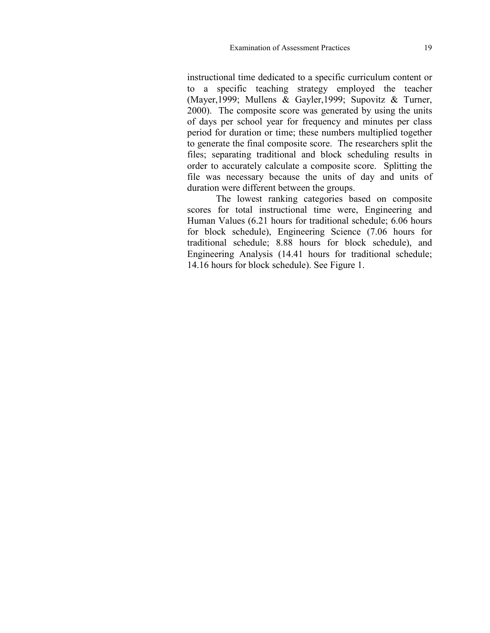instructional time dedicated to a specific curriculum content or to a specific teaching strategy employed the teacher (Mayer,1999; Mullens & Gayler,1999; Supovitz & Turner, 2000). The composite score was generated by using the units of days per school year for frequency and minutes per class period for duration or time; these numbers multiplied together to generate the final composite score. The researchers split the files; separating traditional and block scheduling results in order to accurately calculate a composite score. Splitting the file was necessary because the units of day and units of duration were different between the groups.

The lowest ranking categories based on composite scores for total instructional time were, Engineering and Human Values (6.21 hours for traditional schedule; 6.06 hours for block schedule), Engineering Science (7.06 hours for traditional schedule; 8.88 hours for block schedule), and Engineering Analysis (14.41 hours for traditional schedule; 14.16 hours for block schedule). See Figure 1.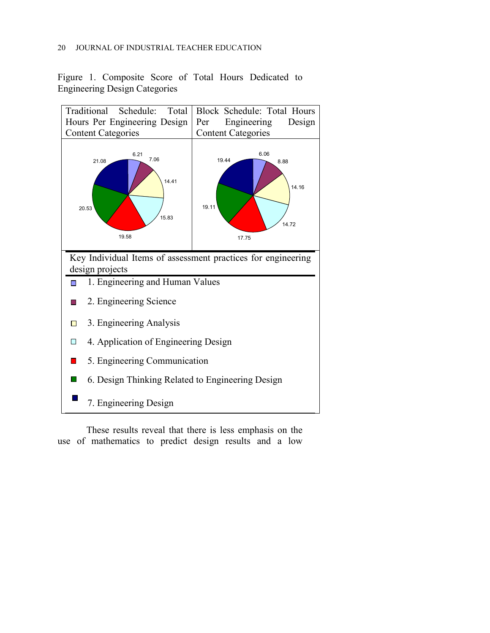# 20 JOURNAL OF INDUSTRIAL TEACHER EDUCATION

Figure 1. Composite Score of Total Hours Dedicated to Engineering Design Categories



es Ĺ use of mathematics to predict design results and a low These results reveal that there is less emphasis on the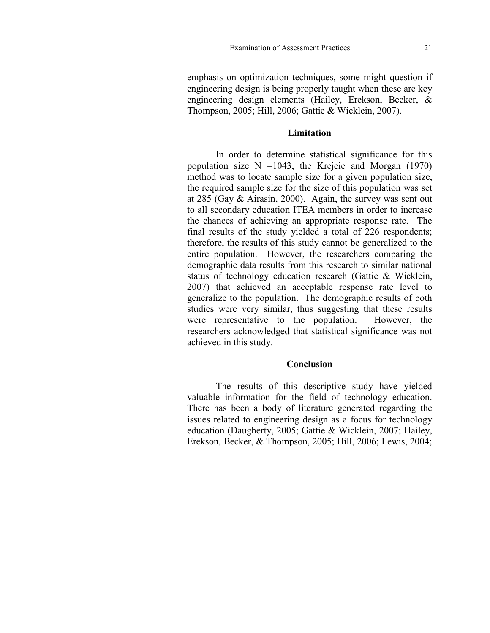emphasis on optimization techniques, some might question if engineering design is being properly taught when these are key engineering design elements (Hailey, Erekson, Becker, & Thompson, 2005; Hill, 2006; Gattie & Wicklein, 2007).

# **Limitation**

In order to determine statistical significance for this population size  $N = 1043$ , the Krejcie and Morgan (1970) method was to locate sample size for a given population size, the required sample size for the size of this population was set at 285 (Gay & Airasin, 2000). Again, the survey was sent out to all secondary education ITEA members in order to increase the chances of achieving an appropriate response rate. The final results of the study yielded a total of 226 respondents; therefore, the results of this study cannot be generalized to the entire population. However, the researchers comparing the demographic data results from this research to similar national status of technology education research (Gattie & Wicklein, 2007) that achieved an acceptable response rate level to generalize to the population. The demographic results of both studies were very similar, thus suggesting that these results were representative to the population. However, the researchers acknowledged that statistical significance was not achieved in this study.

## **Conclusion**

The results of this descriptive study have yielded valuable information for the field of technology education. There has been a body of literature generated regarding the issues related to engineering design as a focus for technology education (Daugherty, 2005; Gattie & Wicklein, 2007; Hailey, Erekson, Becker, & Thompson, 2005; Hill, 2006; Lewis, 2004;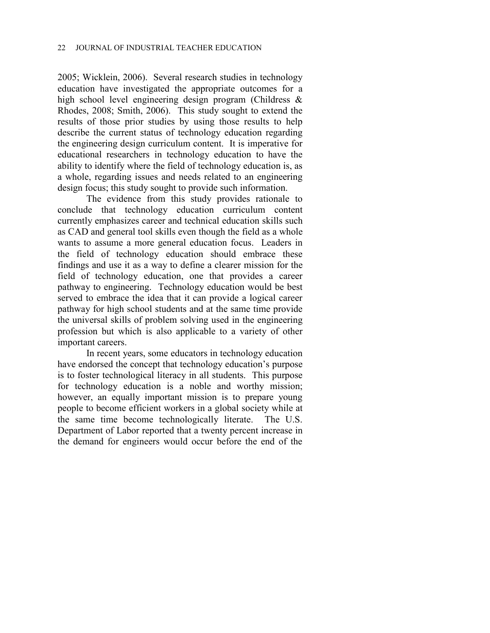2005; Wicklein, 2006). Several research studies in technology education have investigated the appropriate outcomes for a high school level engineering design program (Childress & Rhodes, 2008; Smith, 2006). This study sought to extend the results of those prior studies by using those results to help describe the current status of technology education regarding the engineering design curriculum content. It is imperative for educational researchers in technology education to have the ability to identify where the field of technology education is, as a whole, regarding issues and needs related to an engineering design focus; this study sought to provide such information.

The evidence from this study provides rationale to conclude that technology education curriculum content currently emphasizes career and technical education skills such as CAD and general tool skills even though the field as a whole wants to assume a more general education focus. Leaders in the field of technology education should embrace these findings and use it as a way to define a clearer mission for the field of technology education, one that provides a career pathway to engineering. Technology education would be best served to embrace the idea that it can provide a logical career pathway for high school students and at the same time provide the universal skills of problem solving used in the engineering profession but which is also applicable to a variety of other important careers.

In recent years, some educators in technology education have endorsed the concept that technology education's purpose is to foster technological literacy in all students. This purpose for technology education is a noble and worthy mission; however, an equally important mission is to prepare young people to become efficient workers in a global society while at the same time become technologically literate. The U.S. Department of Labor reported that a twenty percent increase in the demand for engineers would occur before the end of the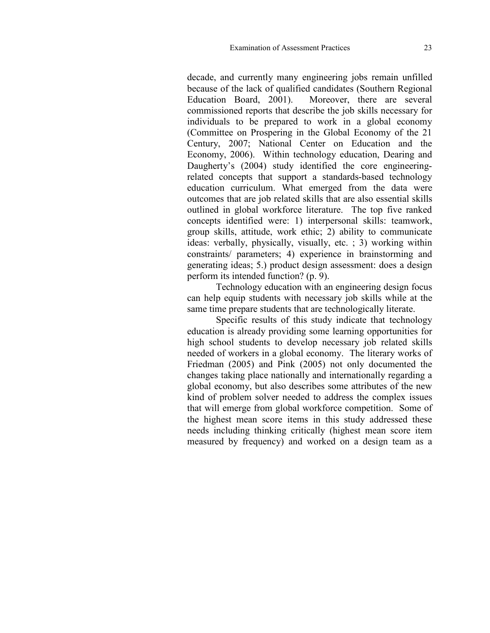decade, and currently many engineering jobs remain unfilled because of the lack of qualified candidates (Southern Regional Education Board, 2001). Moreover, there are several commissioned reports that describe the job skills necessary for individuals to be prepared to work in a global economy (Committee on Prospering in the Global Economy of the 21 Century, 2007; National Center on Education and the Economy, 2006). Within technology education, Dearing and Daugherty's (2004) study identified the core engineeringrelated concepts that support a standards-based technology education curriculum. What emerged from the data were outcomes that are job related skills that are also essential skills outlined in global workforce literature. The top five ranked concepts identified were: 1) interpersonal skills: teamwork, group skills, attitude, work ethic; 2) ability to communicate ideas: verbally, physically, visually, etc. ; 3) working within constraints/ parameters; 4) experience in brainstorming and generating ideas; 5.) product design assessment: does a design perform its intended function? (p. 9).

Technology education with an engineering design focus can help equip students with necessary job skills while at the same time prepare students that are technologically literate.

Specific results of this study indicate that technology education is already providing some learning opportunities for high school students to develop necessary job related skills needed of workers in a global economy. The literary works of Friedman (2005) and Pink (2005) not only documented the changes taking place nationally and internationally regarding a global economy, but also describes some attributes of the new kind of problem solver needed to address the complex issues that will emerge from global workforce competition. Some of the highest mean score items in this study addressed these needs including thinking critically (highest mean score item measured by frequency) and worked on a design team as a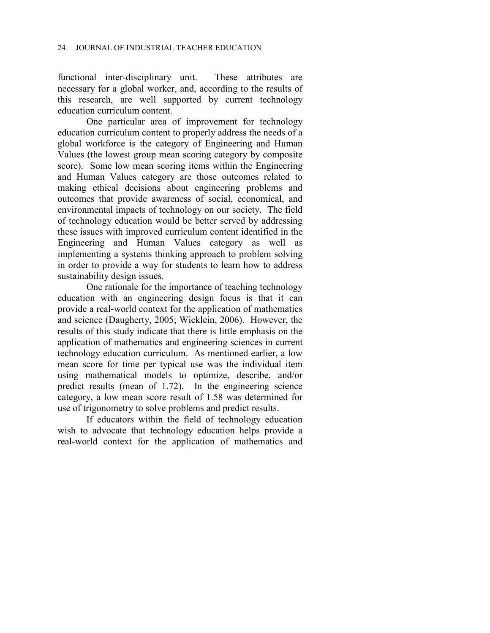functional inter-disciplinary unit. These attributes are necessary for a global worker, and, according to the results of this research, are well supported by current technology education curriculum content.

One particular area of improvement for technology education curriculum content to properly address the needs of a global workforce is the category of Engineering and Human Values (the lowest group mean scoring category by composite score). Some low mean scoring items within the Engineering and Human Values category are those outcomes related to making ethical decisions about engineering problems and outcomes that provide awareness of social, economical, and environmental impacts of technology on our society. The field of technology education would be better served by addressing these issues with improved curriculum content identified in the Engineering and Human Values category as well as implementing a systems thinking approach to problem solving in order to provide a way for students to learn how to address sustainability design issues.

One rationale for the importance of teaching technology education with an engineering design focus is that it can provide a real-world context for the application of mathematics and science (Daugherty, 2005; Wicklein, 2006). However, the results of this study indicate that there is little emphasis on the application of mathematics and engineering sciences in current technology education curriculum. As mentioned earlier, a low mean score for time per typical use was the individual item using mathematical models to optimize, describe, and/or predict results (mean of 1.72). In the engineering science category, a low mean score result of 1.58 was determined for use of trigonometry to solve problems and predict results.

If educators within the field of technology education wish to advocate that technology education helps provide a real-world context for the application of mathematics and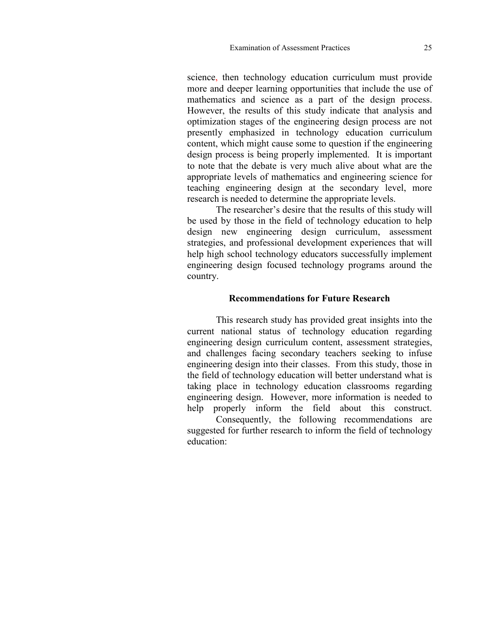science, then technology education curriculum must provide more and deeper learning opportunities that include the use of mathematics and science as a part of the design process. However, the results of this study indicate that analysis and optimization stages of the engineering design process are not presently emphasized in technology education curriculum content, which might cause some to question if the engineering design process is being properly implemented. It is important to note that the debate is very much alive about what are the appropriate levels of mathematics and engineering science for teaching engineering design at the secondary level, more research is needed to determine the appropriate levels.

The researcher's desire that the results of this study will be used by those in the field of technology education to help design new engineering design curriculum, assessment strategies, and professional development experiences that will help high school technology educators successfully implement engineering design focused technology programs around the country.

# **Recommendations for Future Research**

This research study has provided great insights into the current national status of technology education regarding engineering design curriculum content, assessment strategies, and challenges facing secondary teachers seeking to infuse engineering design into their classes. From this study, those in the field of technology education will better understand what is taking place in technology education classrooms regarding engineering design. However, more information is needed to help properly inform the field about this construct.

Consequently, the following recommendations are suggested for further research to inform the field of technology education: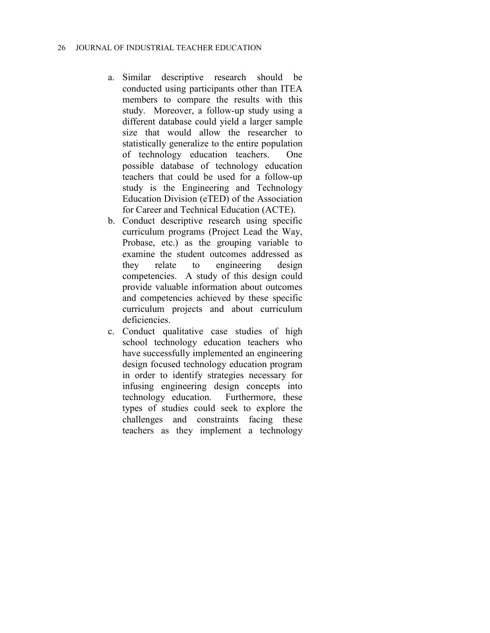- a. Similar descriptive research should be conducted using participants other than ITEA members to compare the results with this study. Moreover, a follow-up study using a different database could yield a larger sample size that would allow the researcher to statistically generalize to the entire population of technology education teachers. One possible database of technology education teachers that could be used for a follow-up study is the Engineering and Technology Education Division (eTED) of the Association for Career and Technical Education (ACTE).
- b. Conduct descriptive research using specific curriculum programs (Project Lead the Way, Probase, etc.) as the grouping variable to examine the student outcomes addressed as they relate to engineering design competencies. A study of this design could provide valuable information about outcomes and competencies achieved by these specific curriculum projects and about curriculum deficiencies.
- c. Conduct qualitative case studies of high school technology education teachers who have successfully implemented an engineering design focused technology education program in order to identify strategies necessary for infusing engineering design concepts into technology education. Furthermore, these types of studies could seek to explore the challenges and constraints facing these teachers as they implement a technology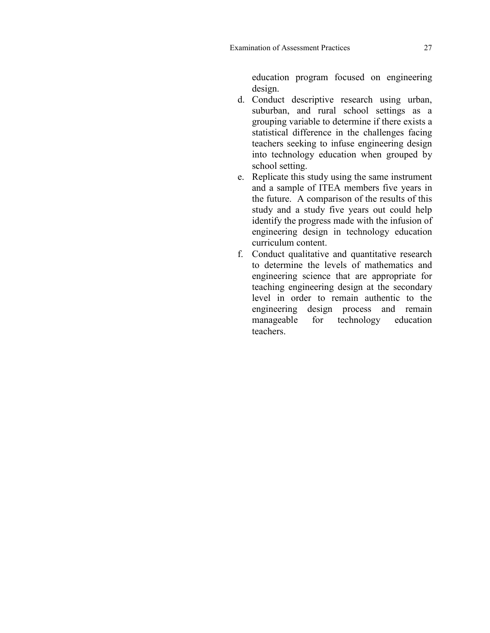education program focused on engineering design.

- d. Conduct descriptive research using urban, suburban, and rural school settings as a grouping variable to determine if there exists a statistical difference in the challenges facing teachers seeking to infuse engineering design into technology education when grouped by school setting.
- e. Replicate this study using the same instrument and a sample of ITEA members five years in the future. A comparison of the results of this study and a study five years out could help identify the progress made with the infusion of engineering design in technology education curriculum content.
- f. Conduct qualitative and quantitative research to determine the levels of mathematics and engineering science that are appropriate for teaching engineering design at the secondary level in order to remain authentic to the engineering design process and remain manageable for technology education teachers.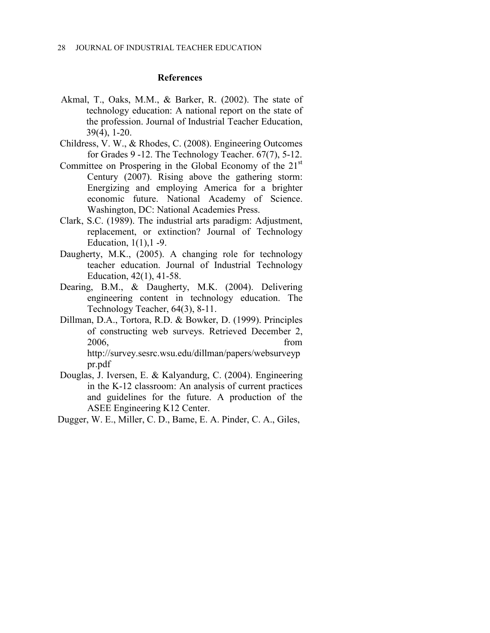# **References**

- Akmal, T., Oaks, M.M., & Barker, R. (2002). The state of technology education: A national report on the state of the profession. Journal of Industrial Teacher Education, 39(4), 1-20.
- Childress, V. W., & Rhodes, C. (2008). Engineering Outcomes for Grades 9 -12. The Technology Teacher. 67(7), 5-12.
- Committee on Prospering in the Global Economy of the  $21<sup>st</sup>$ Century (2007). Rising above the gathering storm: Energizing and employing America for a brighter economic future. National Academy of Science. Washington, DC: National Academies Press.
- Clark, S.C. (1989). The industrial arts paradigm: Adjustment, replacement, or extinction? Journal of Technology Education, 1(1),1 -9.
- Daugherty, M.K., (2005). A changing role for technology teacher education. Journal of Industrial Technology Education, 42(1), 41-58.
- Dearing, B.M., & Daugherty, M.K. (2004). Delivering engineering content in technology education. The Technology Teacher, 64(3), 8-11.
- Dillman, D.A., Tortora, R.D. & Bowker, D. (1999). Principles of constructing web surveys. Retrieved December 2, 2006, from http://survey.sesrc.wsu.edu/dillman/papers/websurveyp pr.pdf
- Douglas, J. Iversen, E. & Kalyandurg, C. (2004). Engineering in the K-12 classroom: An analysis of current practices and guidelines for the future. A production of the ASEE Engineering K12 Center.
- Dugger, W. E., Miller, C. D., Bame, E. A. Pinder, C. A., Giles,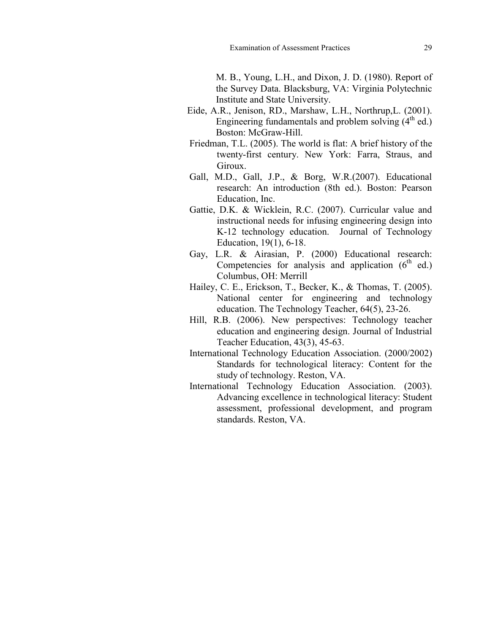M. B., Young, L.H., and Dixon, J. D. (1980). Report of the Survey Data. Blacksburg, VA: Virginia Polytechnic Institute and State University.

- Eide, A.R., Jenison, RD., Marshaw, L.H., Northrup,L. (2001). Engineering fundamentals and problem solving  $(4<sup>th</sup>$  ed.) Boston: McGraw-Hill.
- Friedman, T.L. (2005). The world is flat: A brief history of the twenty-first century. New York: Farra, Straus, and Giroux.
- Gall, M.D., Gall, J.P., & Borg, W.R.(2007). Educational research: An introduction (8th ed.). Boston: Pearson Education, Inc.
- Gattie, D.K. & Wicklein, R.C. (2007). Curricular value and instructional needs for infusing engineering design into K-12 technology education. Journal of Technology Education, 19(1), 6-18.
- Gay, L.R. & Airasian, P. (2000) Educational research: Competencies for analysis and application  $(6<sup>th</sup> ed.)$ Columbus, OH: Merrill
- Hailey, C. E., Erickson, T., Becker, K., & Thomas, T. (2005). National center for engineering and technology education. The Technology Teacher, 64(5), 23-26.
- Hill, R.B. (2006). New perspectives: Technology teacher education and engineering design. Journal of Industrial Teacher Education, 43(3), 45-63.
- International Technology Education Association. (2000/2002) Standards for technological literacy: Content for the study of technology. Reston, VA.
- International Technology Education Association. (2003). Advancing excellence in technological literacy: Student assessment, professional development, and program standards. Reston, VA.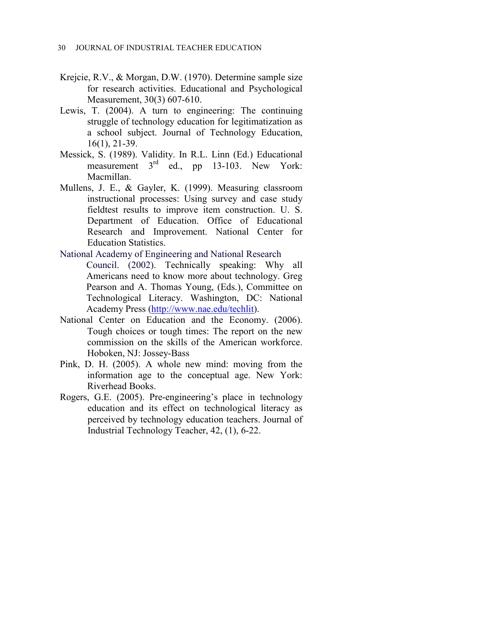- Krejcie, R.V., & Morgan, D.W. (1970). Determine sample size for research activities. Educational and Psychological Measurement, 30(3) 607-610.
- Lewis, T. (2004). A turn to engineering: The continuing struggle of technology education for legitimatization as a school subject. Journal of Technology Education, 16(1), 21-39.
- Messick, S. (1989). Validity. In R.L. Linn (Ed.) Educational measurement 3<sup>rd</sup> ed., pp 13-103. New York: Macmillan.
- Mullens, J. E., & Gayler, K. (1999). Measuring classroom instructional processes: Using survey and case study fieldtest results to improve item construction. U. S. Department of Education. Office of Educational Research and Improvement. National Center for Education Statistics.
- National Academy of Engineering and National Research Council. (2002). Technically speaking: Why all Americans need to know more about technology. Greg Pearson and A. Thomas Young, (Eds.), Committee on Technological Literacy. Washington, DC: National Academy Press [\(http://www.nae.edu/techlit\)](http://www.nae.edu/techlit).
- National Center on Education and the Economy. (2006). Tough choices or tough times: The report on the new commission on the skills of the American workforce. Hoboken, NJ: Jossey-Bass
- Pink, D. H. (2005). A whole new mind: moving from the information age to the conceptual age. New York: Riverhead Books.
- Rogers, G.E. (2005). Pre-engineering's place in technology education and its effect on technological literacy as perceived by technology education teachers. Journal of Industrial Technology Teacher, 42, (1), 6-22.